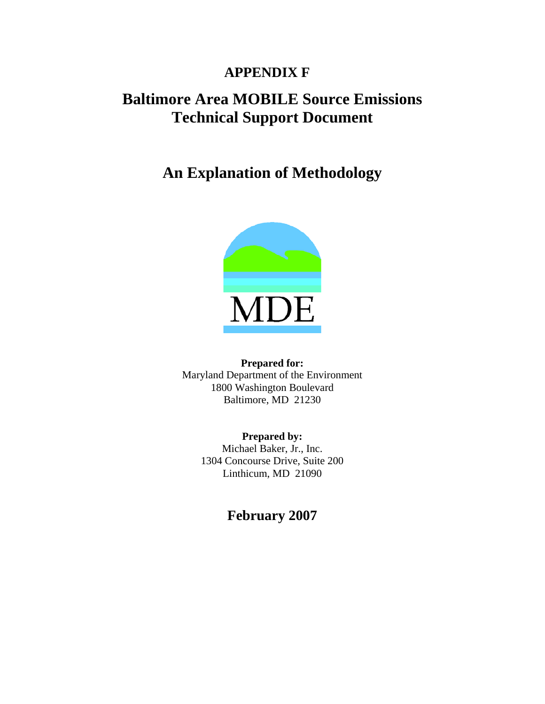## **APPENDIX F**

# **Baltimore Area MOBILE Source Emissions Technical Support Document**

**An Explanation of Methodology** 



**Prepared for:**  Maryland Department of the Environment 1800 Washington Boulevard Baltimore, MD 21230

> **Prepared by:**  Michael Baker, Jr., Inc. 1304 Concourse Drive, Suite 200 Linthicum, MD 21090

> > **February 2007**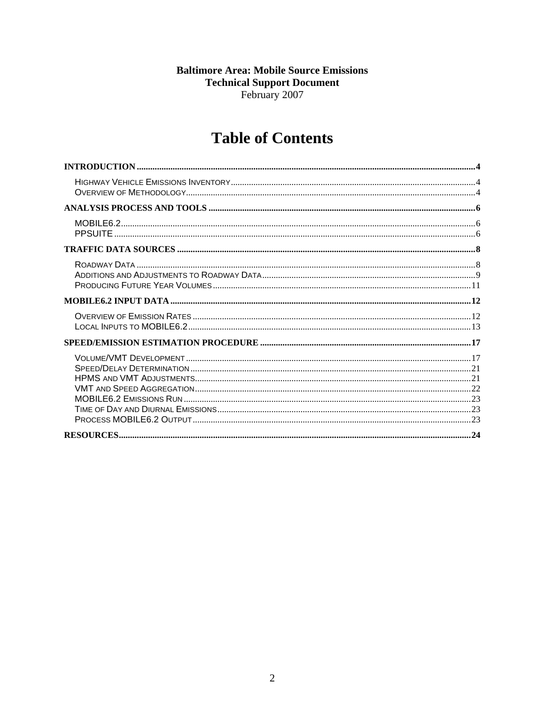### **Baltimore Area: Mobile Source Emissions Technical Support Document** February 2007

# **Table of Contents**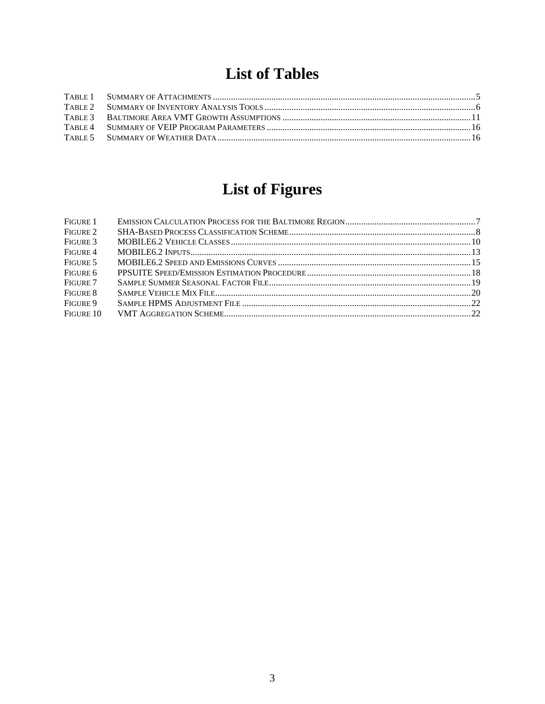# **List of Tables**

# **List of Figures**

| FIGURE 1  |  |
|-----------|--|
| FIGURE 2  |  |
| FIGURE 3  |  |
| FIGURE 4  |  |
| FIGURE 5  |  |
| FIGURE 6  |  |
| FIGURE 7  |  |
| FIGURE 8  |  |
| FIGURE 9  |  |
| FIGURE 10 |  |
|           |  |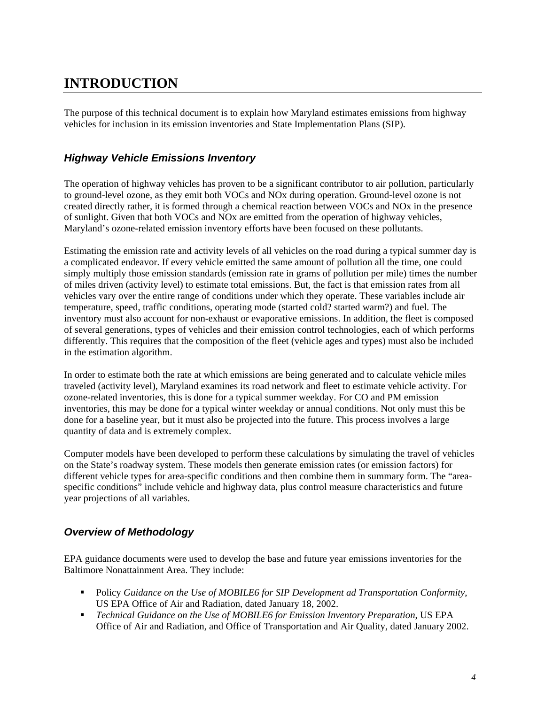# <span id="page-3-0"></span>**INTRODUCTION**

The purpose of this technical document is to explain how Maryland estimates emissions from highway vehicles for inclusion in its emission inventories and State Implementation Plans (SIP).

### *Highway Vehicle Emissions Inventory*

The operation of highway vehicles has proven to be a significant contributor to air pollution, particularly to ground-level ozone, as they emit both VOCs and NOx during operation. Ground-level ozone is not created directly rather, it is formed through a chemical reaction between VOCs and NOx in the presence of sunlight. Given that both VOCs and NOx are emitted from the operation of highway vehicles, Maryland's ozone-related emission inventory efforts have been focused on these pollutants.

Estimating the emission rate and activity levels of all vehicles on the road during a typical summer day is a complicated endeavor. If every vehicle emitted the same amount of pollution all the time, one could simply multiply those emission standards (emission rate in grams of pollution per mile) times the number of miles driven (activity level) to estimate total emissions. But, the fact is that emission rates from all vehicles vary over the entire range of conditions under which they operate. These variables include air temperature, speed, traffic conditions, operating mode (started cold? started warm?) and fuel. The inventory must also account for non-exhaust or evaporative emissions. In addition, the fleet is composed of several generations, types of vehicles and their emission control technologies, each of which performs differently. This requires that the composition of the fleet (vehicle ages and types) must also be included in the estimation algorithm.

In order to estimate both the rate at which emissions are being generated and to calculate vehicle miles traveled (activity level), Maryland examines its road network and fleet to estimate vehicle activity. For ozone-related inventories, this is done for a typical summer weekday. For CO and PM emission inventories, this may be done for a typical winter weekday or annual conditions. Not only must this be done for a baseline year, but it must also be projected into the future. This process involves a large quantity of data and is extremely complex.

Computer models have been developed to perform these calculations by simulating the travel of vehicles on the State's roadway system. These models then generate emission rates (or emission factors) for different vehicle types for area-specific conditions and then combine them in summary form. The "areaspecific conditions" include vehicle and highway data, plus control measure characteristics and future year projections of all variables.

#### *Overview of Methodology*

EPA guidance documents were used to develop the base and future year emissions inventories for the Baltimore Nonattainment Area. They include:

- Policy *Guidance on the Use of MOBILE6 for SIP Development ad Transportation Conformity*, US EPA Office of Air and Radiation, dated January 18, 2002.
- *Technical Guidance on the Use of MOBILE6 for Emission Inventory Preparation*, US EPA Office of Air and Radiation, and Office of Transportation and Air Quality, dated January 2002.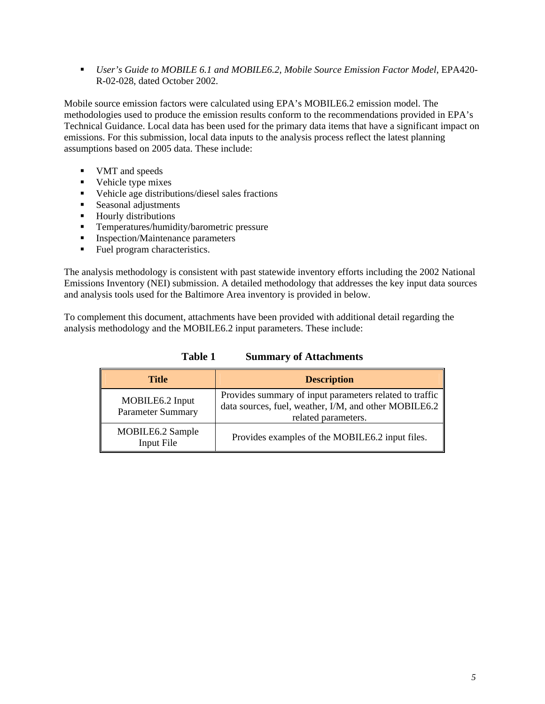<span id="page-4-0"></span> *User's Guide to MOBILE 6.1 and MOBILE6.2, Mobile Source Emission Factor Model*, EPA420- R-02-028, dated October 2002.

Mobile source emission factors were calculated using EPA's MOBILE6.2 emission model. The methodologies used to produce the emission results conform to the recommendations provided in EPA's Technical Guidance. Local data has been used for the primary data items that have a significant impact on emissions. For this submission, local data inputs to the analysis process reflect the latest planning assumptions based on 2005 data. These include:

- **VMT** and speeds
- Vehicle type mixes
- Vehicle age distributions/diesel sales fractions
- **Seasonal adjustments**
- **Hourly distributions**
- **Temperatures/humidity/barometric pressure**
- **Inspection/Maintenance parameters**
- Fuel program characteristics.

The analysis methodology is consistent with past statewide inventory efforts including the 2002 National Emissions Inventory (NEI) submission. A detailed methodology that addresses the key input data sources and analysis tools used for the Baltimore Area inventory is provided in below.

To complement this document, attachments have been provided with additional detail regarding the analysis methodology and the MOBILE6.2 input parameters. These include:

| <b>Title</b>                                | <b>Description</b>                                                                                                                                  |
|---------------------------------------------|-----------------------------------------------------------------------------------------------------------------------------------------------------|
| MOBILE6.2 Input<br><b>Parameter Summary</b> | Provides summary of input parameters related to traffic<br>data sources, fuel, weather, I/M, and other MOBILE6.2 $\parallel$<br>related parameters. |
| MOBILE6.2 Sample<br>Input File              | Provides examples of the MOBILE6.2 input files.                                                                                                     |

**Table 1 Summary of Attachments**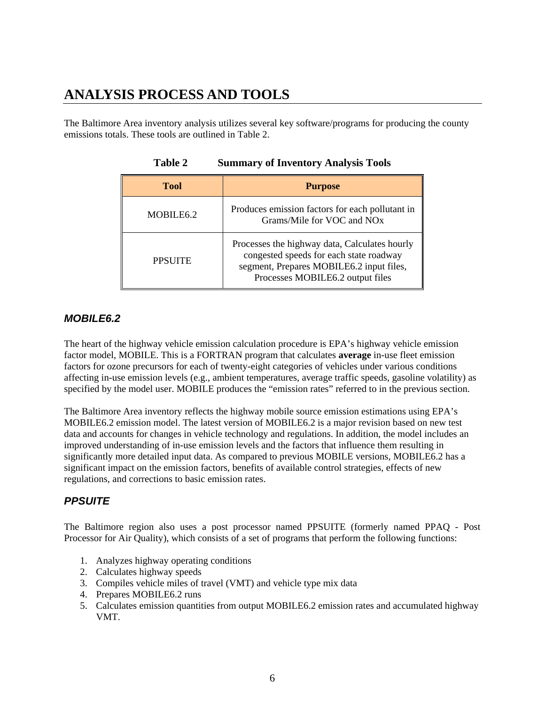# <span id="page-5-0"></span>**ANALYSIS PROCESS AND TOOLS**

The Baltimore Area inventory analysis utilizes several key software/programs for producing the county emissions totals. These tools are outlined in Table 2.

| <b>Tool</b>           | <b>Purpose</b>                                                                                                                                                           |
|-----------------------|--------------------------------------------------------------------------------------------------------------------------------------------------------------------------|
| MOBILE <sub>6.2</sub> | Produces emission factors for each pollutant in<br>Grams/Mile for VOC and NO <sub>x</sub>                                                                                |
| <b>PPSUITE</b>        | Processes the highway data, Calculates hourly<br>congested speeds for each state roadway<br>segment, Prepares MOBILE6.2 input files,<br>Processes MOBILE6.2 output files |

**Table 2 Summary of Inventory Analysis Tools** 

#### *MOBILE6.2*

The heart of the highway vehicle emission calculation procedure is EPA's highway vehicle emission factor model, MOBILE. This is a FORTRAN program that calculates **average** in-use fleet emission factors for ozone precursors for each of twenty-eight categories of vehicles under various conditions affecting in-use emission levels (e.g., ambient temperatures, average traffic speeds, gasoline volatility) as specified by the model user. MOBILE produces the "emission rates" referred to in the previous section.

The Baltimore Area inventory reflects the highway mobile source emission estimations using EPA's MOBILE6.2 emission model. The latest version of MOBILE6.2 is a major revision based on new test data and accounts for changes in vehicle technology and regulations. In addition, the model includes an improved understanding of in-use emission levels and the factors that influence them resulting in significantly more detailed input data. As compared to previous MOBILE versions, MOBILE6.2 has a significant impact on the emission factors, benefits of available control strategies, effects of new regulations, and corrections to basic emission rates.

### *PPSUITE*

The Baltimore region also uses a post processor named PPSUITE (formerly named PPAQ - Post Processor for Air Quality), which consists of a set of programs that perform the following functions:

- 1. Analyzes highway operating conditions
- 2. Calculates highway speeds
- 3. Compiles vehicle miles of travel (VMT) and vehicle type mix data
- 4. Prepares MOBILE6.2 runs
- 5. Calculates emission quantities from output MOBILE6.2 emission rates and accumulated highway VMT.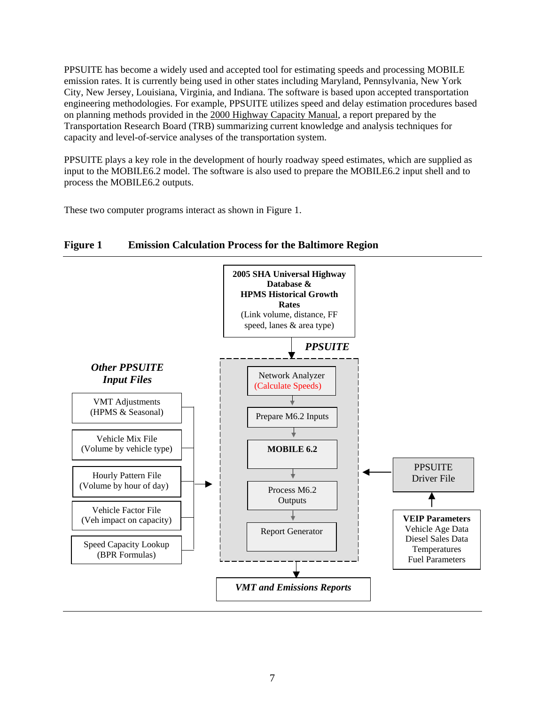<span id="page-6-0"></span>PPSUITE has become a widely used and accepted tool for estimating speeds and processing MOBILE emission rates. It is currently being used in other states including Maryland, Pennsylvania, New York City, New Jersey, Louisiana, Virginia, and Indiana. The software is based upon accepted transportation engineering methodologies. For example, PPSUITE utilizes speed and delay estimation procedures based on planning methods provided in the 2000 Highway Capacity Manual, a report prepared by the Transportation Research Board (TRB) summarizing current knowledge and analysis techniques for capacity and level-of-service analyses of the transportation system.

PPSUITE plays a key role in the development of hourly roadway speed estimates, which are supplied as input to the MOBILE6.2 model. The software is also used to prepare the MOBILE6.2 input shell and to process the MOBILE6.2 outputs.

These two computer programs interact as shown in Figure 1.



#### **Figure 1 Emission Calculation Process for the Baltimore Region**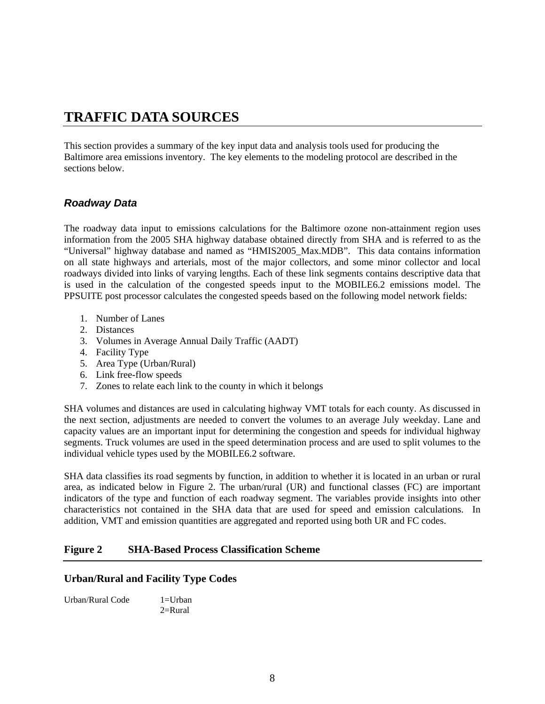# <span id="page-7-0"></span>**TRAFFIC DATA SOURCES**

This section provides a summary of the key input data and analysis tools used for producing the Baltimore area emissions inventory. The key elements to the modeling protocol are described in the sections below.

#### *Roadway Data*

The roadway data input to emissions calculations for the Baltimore ozone non-attainment region uses information from the 2005 SHA highway database obtained directly from SHA and is referred to as the "Universal" highway database and named as "HMIS2005\_Max.MDB". This data contains information on all state highways and arterials, most of the major collectors, and some minor collector and local roadways divided into links of varying lengths. Each of these link segments contains descriptive data that is used in the calculation of the congested speeds input to the MOBILE6.2 emissions model. The PPSUITE post processor calculates the congested speeds based on the following model network fields:

- 1. Number of Lanes
- 2. Distances
- 3. Volumes in Average Annual Daily Traffic (AADT)
- 4. Facility Type
- 5. Area Type (Urban/Rural)
- 6. Link free-flow speeds
- 7. Zones to relate each link to the county in which it belongs

SHA volumes and distances are used in calculating highway VMT totals for each county. As discussed in the next section, adjustments are needed to convert the volumes to an average July weekday. Lane and capacity values are an important input for determining the congestion and speeds for individual highway segments. Truck volumes are used in the speed determination process and are used to split volumes to the individual vehicle types used by the MOBILE6.2 software.

SHA data classifies its road segments by function, in addition to whether it is located in an urban or rural area, as indicated below in Figure 2. The urban/rural (UR) and functional classes (FC) are important indicators of the type and function of each roadway segment. The variables provide insights into other characteristics not contained in the SHA data that are used for speed and emission calculations. In addition, VMT and emission quantities are aggregated and reported using both UR and FC codes.

#### **Figure 2 SHA-Based Process Classification Scheme**

#### **Urban/Rural and Facility Type Codes**

| Urban/Rural Code | $1=U$ rban |
|------------------|------------|
|                  | $2=$ Rural |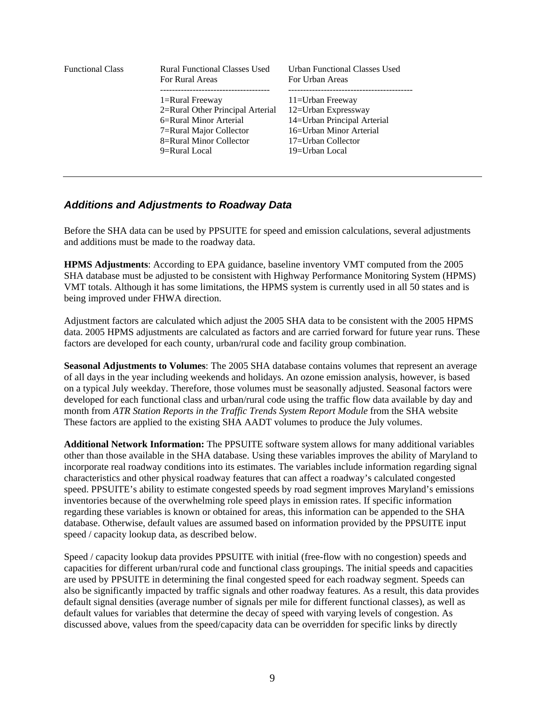<span id="page-8-0"></span>

| <b>Functional Class</b> | <b>Rural Functional Classes Used</b><br>For Rural Areas                                                                                              | <b>Urban Functional Classes Used</b><br>For Urban Areas                                                                                   |
|-------------------------|------------------------------------------------------------------------------------------------------------------------------------------------------|-------------------------------------------------------------------------------------------------------------------------------------------|
|                         | 1=Rural Freeway<br>2=Rural Other Principal Arterial<br>6=Rural Minor Arterial<br>7=Rural Major Collector<br>8=Rural Minor Collector<br>9=Rural Local | 11=Urban Freeway<br>12=Urban Expressway<br>14=Urban Principal Arterial<br>16=Urban Minor Arterial<br>17=Urban Collector<br>19=Urban Local |
|                         |                                                                                                                                                      |                                                                                                                                           |

#### *Additions and Adjustments to Roadway Data*

Before the SHA data can be used by PPSUITE for speed and emission calculations, several adjustments and additions must be made to the roadway data.

**HPMS Adjustments**: According to EPA guidance, baseline inventory VMT computed from the 2005 SHA database must be adjusted to be consistent with Highway Performance Monitoring System (HPMS) VMT totals. Although it has some limitations, the HPMS system is currently used in all 50 states and is being improved under FHWA direction.

Adjustment factors are calculated which adjust the 2005 SHA data to be consistent with the 2005 HPMS data. 2005 HPMS adjustments are calculated as factors and are carried forward for future year runs. These factors are developed for each county, urban/rural code and facility group combination.

**Seasonal Adjustments to Volumes**: The 2005 SHA database contains volumes that represent an average of all days in the year including weekends and holidays. An ozone emission analysis, however, is based on a typical July weekday. Therefore, those volumes must be seasonally adjusted. Seasonal factors were developed for each functional class and urban/rural code using the traffic flow data available by day and month from *ATR Station Reports in the Traffic Trends System Report Module* from the SHA website These factors are applied to the existing SHA AADT volumes to produce the July volumes.

**Additional Network Information:** The PPSUITE software system allows for many additional variables other than those available in the SHA database. Using these variables improves the ability of Maryland to incorporate real roadway conditions into its estimates. The variables include information regarding signal characteristics and other physical roadway features that can affect a roadway's calculated congested speed. PPSUITE's ability to estimate congested speeds by road segment improves Maryland's emissions inventories because of the overwhelming role speed plays in emission rates. If specific information regarding these variables is known or obtained for areas, this information can be appended to the SHA database. Otherwise, default values are assumed based on information provided by the PPSUITE input speed / capacity lookup data, as described below.

Speed / capacity lookup data provides PPSUITE with initial (free-flow with no congestion) speeds and capacities for different urban/rural code and functional class groupings. The initial speeds and capacities are used by PPSUITE in determining the final congested speed for each roadway segment. Speeds can also be significantly impacted by traffic signals and other roadway features. As a result, this data provides default signal densities (average number of signals per mile for different functional classes), as well as default values for variables that determine the decay of speed with varying levels of congestion. As discussed above, values from the speed/capacity data can be overridden for specific links by directly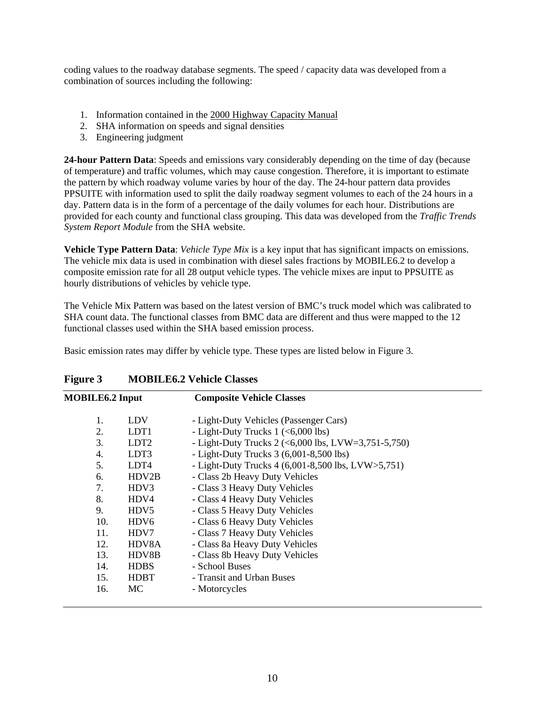<span id="page-9-0"></span>coding values to the roadway database segments. The speed / capacity data was developed from a combination of sources including the following:

- 1. Information contained in the 2000 Highway Capacity Manual
- 2. SHA information on speeds and signal densities
- 3. Engineering judgment

**24-hour Pattern Data**: Speeds and emissions vary considerably depending on the time of day (because of temperature) and traffic volumes, which may cause congestion. Therefore, it is important to estimate the pattern by which roadway volume varies by hour of the day. The 24-hour pattern data provides PPSUITE with information used to split the daily roadway segment volumes to each of the 24 hours in a day. Pattern data is in the form of a percentage of the daily volumes for each hour. Distributions are provided for each county and functional class grouping. This data was developed from the *Traffic Trends System Report Module* from the SHA website.

**Vehicle Type Pattern Data**: *Vehicle Type Mix* is a key input that has significant impacts on emissions. The vehicle mix data is used in combination with diesel sales fractions by MOBILE6.2 to develop a composite emission rate for all 28 output vehicle types. The vehicle mixes are input to PPSUITE as hourly distributions of vehicles by vehicle type.

The Vehicle Mix Pattern was based on the latest version of BMC's truck model which was calibrated to SHA count data. The functional classes from BMC data are different and thus were mapped to the 12 functional classes used within the SHA based emission process.

Basic emission rates may differ by vehicle type. These types are listed below in Figure 3.

| <b>MOBILE6.2 Input</b> |                  | <b>Composite Vehicle Classes</b>                    |
|------------------------|------------------|-----------------------------------------------------|
| 1.                     | <b>LDV</b>       | - Light-Duty Vehicles (Passenger Cars)              |
| 2.                     | LDT <sub>1</sub> | - Light-Duty Trucks $1$ (<6,000 lbs)                |
| 3.                     | LDT <sub>2</sub> | - Light-Duty Trucks 2 (<6,000 lbs, LVW=3,751-5,750) |
| 4.                     | LDT3             | - Light-Duty Trucks $3(6,001-8,500$ lbs)            |
| 5.                     | LDT4             | - Light-Duty Trucks 4 (6,001-8,500 lbs, LVW>5,751)  |
| 6.                     | HDV2B            | - Class 2b Heavy Duty Vehicles                      |
| 7.                     | HDV3             | - Class 3 Heavy Duty Vehicles                       |
| 8.                     | HDV4             | - Class 4 Heavy Duty Vehicles                       |
| 9.                     | HDV5             | - Class 5 Heavy Duty Vehicles                       |
| 10.                    | HDV6             | - Class 6 Heavy Duty Vehicles                       |
| 11.                    | HDV7             | - Class 7 Heavy Duty Vehicles                       |
| 12.                    | HDV8A            | - Class 8a Heavy Duty Vehicles                      |
| 13.                    | HDV8B            | - Class 8b Heavy Duty Vehicles                      |
| 14.                    | <b>HDBS</b>      | - School Buses                                      |
| 15.                    | <b>HDBT</b>      | - Transit and Urban Buses                           |
| 16.                    | MC               | - Motorcycles                                       |
|                        |                  |                                                     |

#### **Figure 3 MOBILE6.2 Vehicle Classes**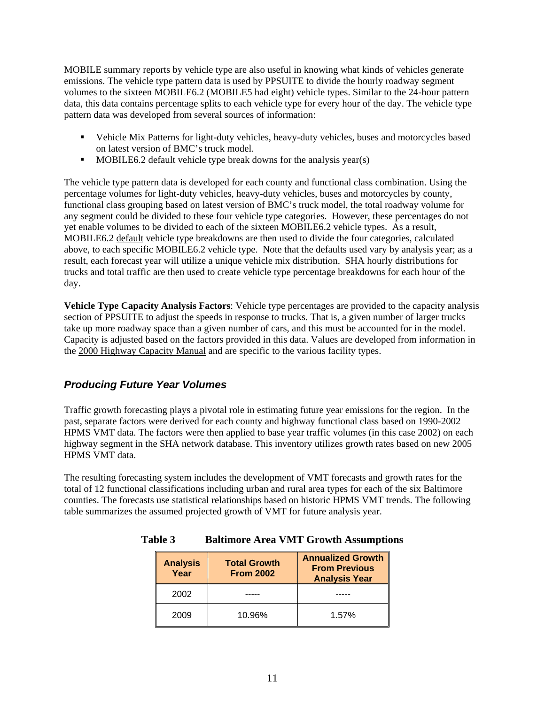<span id="page-10-0"></span>MOBILE summary reports by vehicle type are also useful in knowing what kinds of vehicles generate emissions. The vehicle type pattern data is used by PPSUITE to divide the hourly roadway segment volumes to the sixteen MOBILE6.2 (MOBILE5 had eight) vehicle types. Similar to the 24-hour pattern data, this data contains percentage splits to each vehicle type for every hour of the day. The vehicle type pattern data was developed from several sources of information:

- Vehicle Mix Patterns for light-duty vehicles, heavy-duty vehicles, buses and motorcycles based on latest version of BMC's truck model.
- $\blacksquare$  MOBILE6.2 default vehicle type break downs for the analysis year(s)

The vehicle type pattern data is developed for each county and functional class combination. Using the percentage volumes for light-duty vehicles, heavy-duty vehicles, buses and motorcycles by county, functional class grouping based on latest version of BMC's truck model, the total roadway volume for any segment could be divided to these four vehicle type categories. However, these percentages do not yet enable volumes to be divided to each of the sixteen MOBILE6.2 vehicle types. As a result, MOBILE6.2 default vehicle type breakdowns are then used to divide the four categories, calculated above, to each specific MOBILE6.2 vehicle type. Note that the defaults used vary by analysis year; as a result, each forecast year will utilize a unique vehicle mix distribution. SHA hourly distributions for trucks and total traffic are then used to create vehicle type percentage breakdowns for each hour of the day.

**Vehicle Type Capacity Analysis Factors**: Vehicle type percentages are provided to the capacity analysis section of PPSUITE to adjust the speeds in response to trucks. That is, a given number of larger trucks take up more roadway space than a given number of cars, and this must be accounted for in the model. Capacity is adjusted based on the factors provided in this data. Values are developed from information in the 2000 Highway Capacity Manual and are specific to the various facility types.

#### *Producing Future Year Volumes*

Traffic growth forecasting plays a pivotal role in estimating future year emissions for the region. In the past, separate factors were derived for each county and highway functional class based on 1990-2002 HPMS VMT data. The factors were then applied to base year traffic volumes (in this case 2002) on each highway segment in the SHA network database. This inventory utilizes growth rates based on new 2005 HPMS VMT data.

The resulting forecasting system includes the development of VMT forecasts and growth rates for the total of 12 functional classifications including urban and rural area types for each of the six Baltimore counties. The forecasts use statistical relationships based on historic HPMS VMT trends. The following table summarizes the assumed projected growth of VMT for future analysis year.

| <b>Analysis</b><br>Year | <b>Total Growth</b><br><b>From 2002</b> | <b>Annualized Growth</b><br><b>From Previous</b><br><b>Analysis Year</b> |
|-------------------------|-----------------------------------------|--------------------------------------------------------------------------|
| 2002                    |                                         |                                                                          |
| 2009                    | 10.96%                                  | $1.57\%$                                                                 |

#### **Table 3 Baltimore Area VMT Growth Assumptions**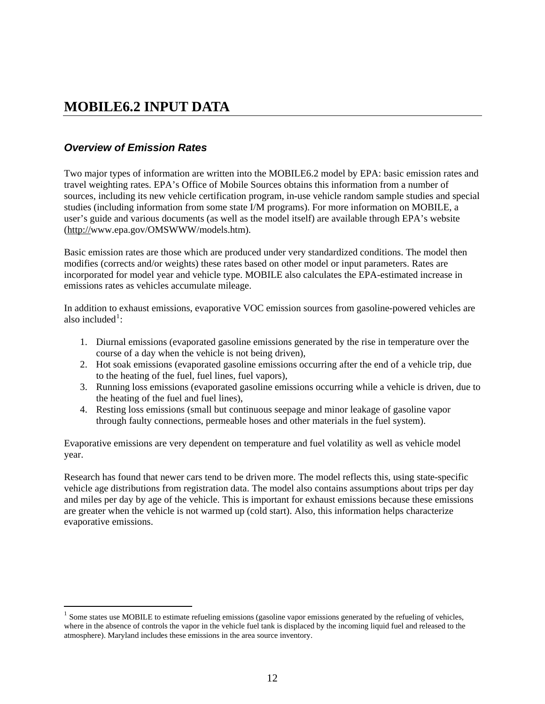## <span id="page-11-0"></span>**MOBILE6.2 INPUT DATA**

### *Overview of Emission Rates*

 $\overline{a}$ 

Two major types of information are written into the MOBILE6.2 model by EPA: basic emission rates and travel weighting rates. EPA's Office of Mobile Sources obtains this information from a number of sources, including its new vehicle certification program, in-use vehicle random sample studies and special studies (including information from some state I/M programs). For more information on MOBILE, a user's guide and various documents (as well as the model itself) are available through EPA's website (http://www.epa.gov/OMSWWW/models.htm).

Basic emission rates are those which are produced under very standardized conditions. The model then modifies (corrects and/or weights) these rates based on other model or input parameters. Rates are incorporated for model year and vehicle type. MOBILE also calculates the EPA-estimated increase in emissions rates as vehicles accumulate mileage.

In addition to exhaust emissions, evaporative VOC emission sources from gasoline-powered vehicles are also included<sup>[1](#page-11-0)</sup>:

- 1. Diurnal emissions (evaporated gasoline emissions generated by the rise in temperature over the course of a day when the vehicle is not being driven),
- 2. Hot soak emissions (evaporated gasoline emissions occurring after the end of a vehicle trip, due to the heating of the fuel, fuel lines, fuel vapors),
- 3. Running loss emissions (evaporated gasoline emissions occurring while a vehicle is driven, due to the heating of the fuel and fuel lines),
- 4. Resting loss emissions (small but continuous seepage and minor leakage of gasoline vapor through faulty connections, permeable hoses and other materials in the fuel system).

Evaporative emissions are very dependent on temperature and fuel volatility as well as vehicle model year.

Research has found that newer cars tend to be driven more. The model reflects this, using state-specific vehicle age distributions from registration data. The model also contains assumptions about trips per day and miles per day by age of the vehicle. This is important for exhaust emissions because these emissions are greater when the vehicle is not warmed up (cold start). Also, this information helps characterize evaporative emissions.

<sup>&</sup>lt;sup>1</sup> Some states use MOBILE to estimate refueling emissions (gasoline vapor emissions generated by the refueling of vehicles, where in the absence of controls the vapor in the vehicle fuel tank is displaced by the incoming liquid fuel and released to the atmosphere). Maryland includes these emissions in the area source inventory.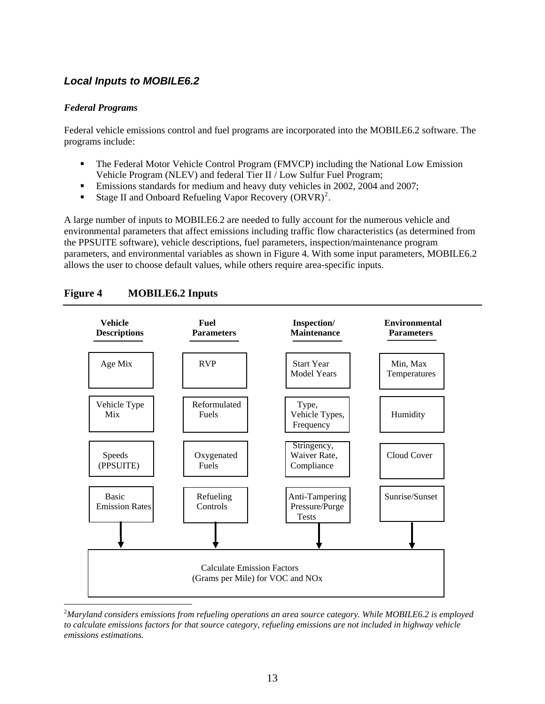### <span id="page-12-0"></span>*Local Inputs to MOBILE6.2*

#### *Federal Programs*

Federal vehicle emissions control and fuel programs are incorporated into the MOBILE6.2 software. The programs include:

- The Federal Motor Vehicle Control Program (FMVCP) including the National Low Emission Vehicle Program (NLEV) and federal Tier II / Low Sulfur Fuel Program;
- **Emissions standards for medium and heavy duty vehicles in 2002, 2004 and 2007;**
- Stage II and Onboard Refueling Vapor Recovery  $\left($ ORVR $\right)^2$  $\right)^2$ .

A large number of inputs to MOBILE6.2 are needed to fully account for the numerous vehicle and environmental parameters that affect emissions including traffic flow characteristics (as determined from the PPSUITE software), vehicle descriptions, fuel parameters, inspection/maintenance program parameters, and environmental variables as shown in Figure 4. With some input parameters, MOBILE6.2 allows the user to choose default values, while others require area-specific inputs.



#### **Figure 4 MOBILE6.2 Inputs**

 $\overline{a}$ 2 *Maryland considers emissions from refueling operations an area source category. While MOBILE6.2 is employed to calculate emissions factors for that source category, refueling emissions are not included in highway vehicle emissions estimations.*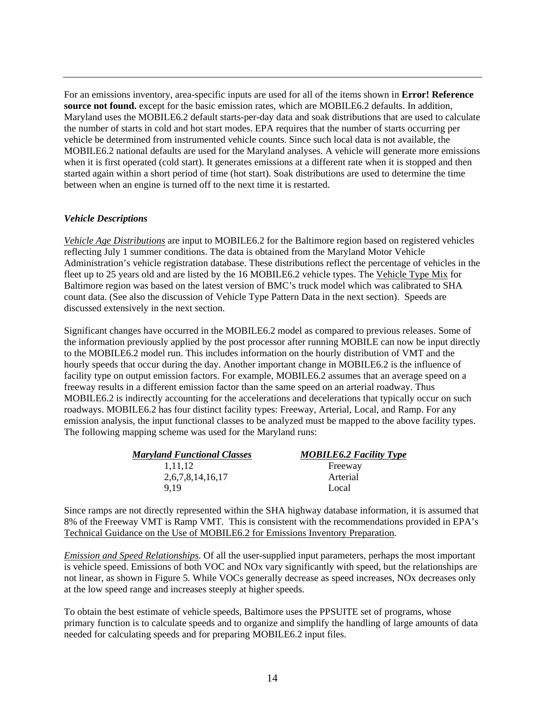For an emissions inventory, area-specific inputs are used for all of the items shown in **Error! Reference source not found.** except for the basic emission rates, which are MOBILE6.2 defaults. In addition, Maryland uses the MOBILE6.2 default starts-per-day data and soak distributions that are used to calculate the number of starts in cold and hot start modes. EPA requires that the number of starts occurring per vehicle be determined from instrumented vehicle counts. Since such local data is not available, the MOBILE6.2 national defaults are used for the Maryland analyses. A vehicle will generate more emissions when it is first operated (cold start). It generates emissions at a different rate when it is stopped and then started again within a short period of time (hot start). Soak distributions are used to determine the time between when an engine is turned off to the next time it is restarted.

#### *Vehicle Descriptions*

*Vehicle Age Distributions* are input to MOBILE6.2 for the Baltimore region based on registered vehicles reflecting July 1 summer conditions. The data is obtained from the Maryland Motor Vehicle Administration's vehicle registration database. These distributions reflect the percentage of vehicles in the fleet up to 25 years old and are listed by the 16 MOBILE6.2 vehicle types. The Vehicle Type Mix for Baltimore region was based on the latest version of BMC's truck model which was calibrated to SHA count data. (See also the discussion of Vehicle Type Pattern Data in the next section). Speeds are discussed extensively in the next section.

Significant changes have occurred in the MOBILE6.2 model as compared to previous releases. Some of the information previously applied by the post processor after running MOBILE can now be input directly to the MOBILE6.2 model run. This includes information on the hourly distribution of VMT and the hourly speeds that occur during the day. Another important change in MOBILE6.2 is the influence of facility type on output emission factors. For example, MOBILE6.2 assumes that an average speed on a freeway results in a different emission factor than the same speed on an arterial roadway. Thus MOBILE6.2 is indirectly accounting for the accelerations and decelerations that typically occur on such roadways. MOBILE6.2 has four distinct facility types: Freeway, Arterial, Local, and Ramp. For any emission analysis, the input functional classes to be analyzed must be mapped to the above facility types. The following mapping scheme was used for the Maryland runs:

| <b>Maryland Functional Classes</b> | <b>MOBILE6.2 Facility Type</b> |
|------------------------------------|--------------------------------|
| 1.11.12                            | Freeway                        |
| 2,6,7,8,14,16,17                   | Arterial                       |
| 9 1 9                              | Local                          |

Since ramps are not directly represented within the SHA highway database information, it is assumed that 8% of the Freeway VMT is Ramp VMT. This is consistent with the recommendations provided in EPA's Technical Guidance on the Use of MOBILE6.2 for Emissions Inventory Preparation.

*Emission and Speed Relationships*. Of all the user-supplied input parameters, perhaps the most important is vehicle speed. Emissions of both VOC and NOx vary significantly with speed, but the relationships are not linear, as shown in Figure 5. While VOCs generally decrease as speed increases, NOx decreases only at the low speed range and increases steeply at higher speeds.

To obtain the best estimate of vehicle speeds, Baltimore uses the PPSUITE set of programs, whose primary function is to calculate speeds and to organize and simplify the handling of large amounts of data needed for calculating speeds and for preparing MOBILE6.2 input files.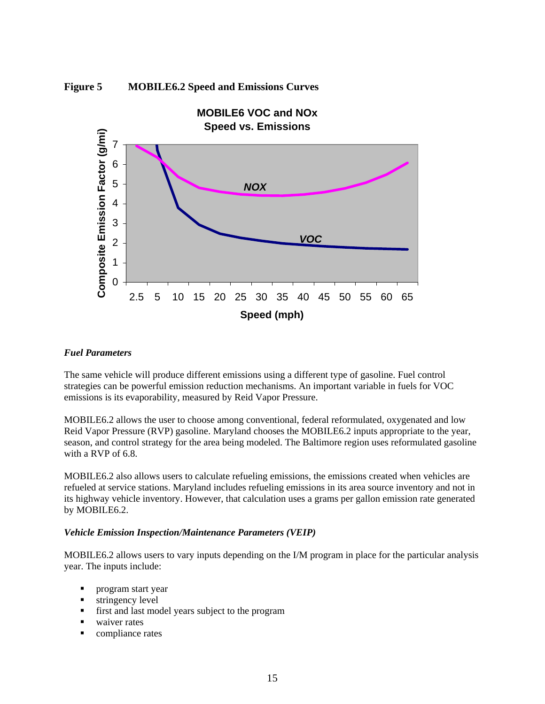<span id="page-14-0"></span>



#### *Fuel Parameters*

The same vehicle will produce different emissions using a different type of gasoline. Fuel control strategies can be powerful emission reduction mechanisms. An important variable in fuels for VOC emissions is its evaporability, measured by Reid Vapor Pressure.

MOBILE6.2 allows the user to choose among conventional, federal reformulated, oxygenated and low Reid Vapor Pressure (RVP) gasoline. Maryland chooses the MOBILE6.2 inputs appropriate to the year, season, and control strategy for the area being modeled. The Baltimore region uses reformulated gasoline with a RVP of 6.8.

MOBILE6.2 also allows users to calculate refueling emissions, the emissions created when vehicles are refueled at service stations. Maryland includes refueling emissions in its area source inventory and not in its highway vehicle inventory. However, that calculation uses a grams per gallon emission rate generated by MOBILE6.2.

#### *Vehicle Emission Inspection/Maintenance Parameters (VEIP)*

MOBILE6.2 allows users to vary inputs depending on the I/M program in place for the particular analysis year. The inputs include:

- **program start year**
- **stringency level**
- first and last model years subject to the program
- waiver rates
- **compliance rates**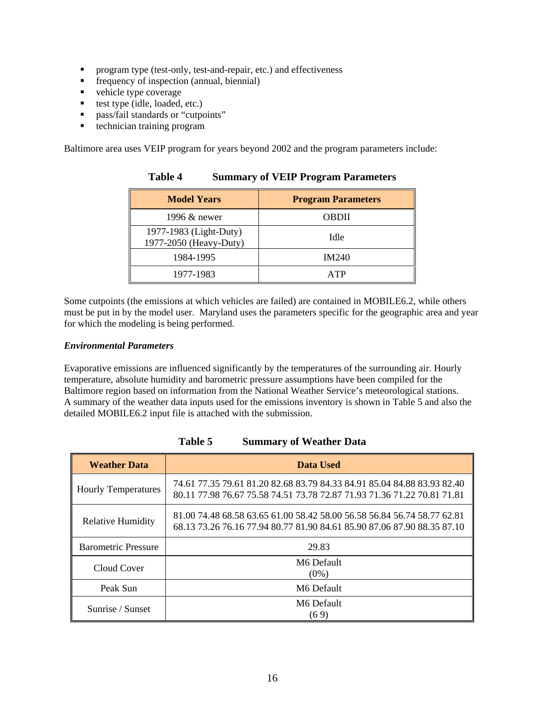- <span id="page-15-0"></span>**Perogram type (test-only, test-and-repair, etc.) and effectiveness**
- **Figure** frequency of inspection (annual, biennial)
- vehicle type coverage
- test type  $(idle, loaded, etc.)$
- **pass/fail standards or "cutpoints"**
- technician training program

Baltimore area uses VEIP program for years beyond 2002 and the program parameters include:

| <b>Model Years</b>                               | <b>Program Parameters</b> |
|--------------------------------------------------|---------------------------|
| 1996 & newer                                     | <b>OBDII</b>              |
| 1977-1983 (Light-Duty)<br>1977-2050 (Heavy-Duty) | Idle                      |
| 1984-1995                                        | <b>IM240</b>              |
| 1977-1983                                        | ATP                       |

**Table 4 Summary of VEIP Program Parameters** 

Some cutpoints (the emissions at which vehicles are failed) are contained in MOBILE6.2, while others must be put in by the model user. Maryland uses the parameters specific for the geographic area and year for which the modeling is being performed.

#### *Environmental Parameters*

Evaporative emissions are influenced significantly by the temperatures of the surrounding air. Hourly temperature, absolute humidity and barometric pressure assumptions have been compiled for the Baltimore region based on information from the National Weather Service's meteorological stations. A summary of the weather data inputs used for the emissions inventory is shown in Table 5 and also the detailed MOBILE6.2 input file is attached with the submission.

| <b>Weather Data</b>        | Data Used                                                                                                                                          |  |
|----------------------------|----------------------------------------------------------------------------------------------------------------------------------------------------|--|
| <b>Hourly Temperatures</b> | 74.61 77.35 79.61 81.20 82.68 83.79 84.33 84.91 85.04 84.88 83.93 82.40<br>80.11 77.98 76.67 75.58 74.51 73.78 72.87 71.93 71.36 71.22 70.81 71.81 |  |
| <b>Relative Humidity</b>   | 81.00 74.48 68.58 63.65 61.00 58.42 58.00 56.58 56.84 56.74 58.77 62.81<br>68.13 73.26 76.16 77.94 80.77 81.90 84.61 85.90 87.06 87.90 88.35 87.10 |  |
| <b>Barometric Pressure</b> | 29.83                                                                                                                                              |  |
| Cloud Cover                | M6 Default<br>$(0\%)$                                                                                                                              |  |
| Peak Sun                   | M6 Default                                                                                                                                         |  |
| Sunrise / Sunset           | M6 Default<br>(69)                                                                                                                                 |  |

**Table 5 Summary of Weather Data**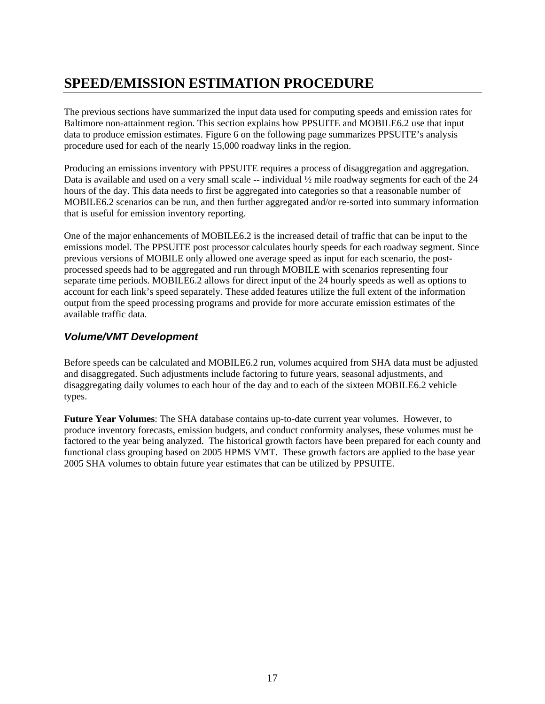# <span id="page-16-0"></span>**SPEED/EMISSION ESTIMATION PROCEDURE**

The previous sections have summarized the input data used for computing speeds and emission rates for Baltimore non-attainment region. This section explains how PPSUITE and MOBILE6.2 use that input data to produce emission estimates. Figure 6 on the following page summarizes PPSUITE's analysis procedure used for each of the nearly 15,000 roadway links in the region.

Producing an emissions inventory with PPSUITE requires a process of disaggregation and aggregation. Data is available and used on a very small scale  $-$  individual  $\frac{1}{2}$  mile roadway segments for each of the 24 hours of the day. This data needs to first be aggregated into categories so that a reasonable number of MOBILE6.2 scenarios can be run, and then further aggregated and/or re-sorted into summary information that is useful for emission inventory reporting.

One of the major enhancements of MOBILE6.2 is the increased detail of traffic that can be input to the emissions model. The PPSUITE post processor calculates hourly speeds for each roadway segment. Since previous versions of MOBILE only allowed one average speed as input for each scenario, the postprocessed speeds had to be aggregated and run through MOBILE with scenarios representing four separate time periods. MOBILE6.2 allows for direct input of the 24 hourly speeds as well as options to account for each link's speed separately. These added features utilize the full extent of the information output from the speed processing programs and provide for more accurate emission estimates of the available traffic data.

### *Volume/VMT Development*

Before speeds can be calculated and MOBILE6.2 run, volumes acquired from SHA data must be adjusted and disaggregated. Such adjustments include factoring to future years, seasonal adjustments, and disaggregating daily volumes to each hour of the day and to each of the sixteen MOBILE6.2 vehicle types.

**Future Year Volumes**: The SHA database contains up-to-date current year volumes. However, to produce inventory forecasts, emission budgets, and conduct conformity analyses, these volumes must be factored to the year being analyzed. The historical growth factors have been prepared for each county and functional class grouping based on 2005 HPMS VMT. These growth factors are applied to the base year 2005 SHA volumes to obtain future year estimates that can be utilized by PPSUITE.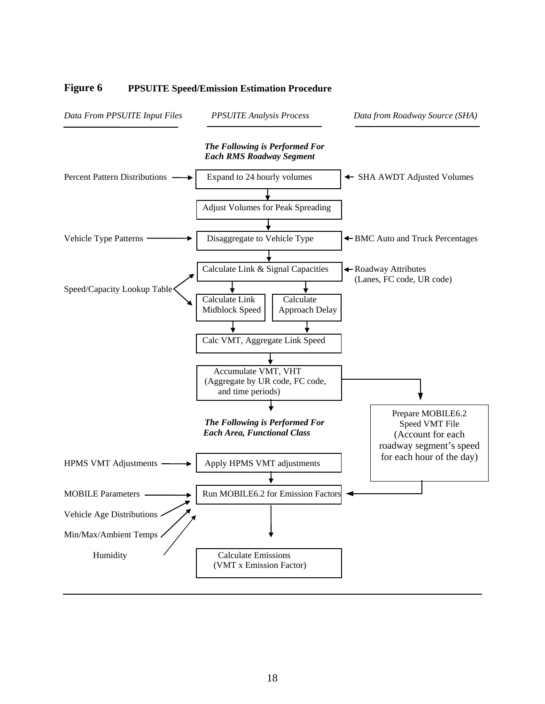

#### <span id="page-17-0"></span>**Figure 6 PPSUITE Speed/Emission Estimation Procedure**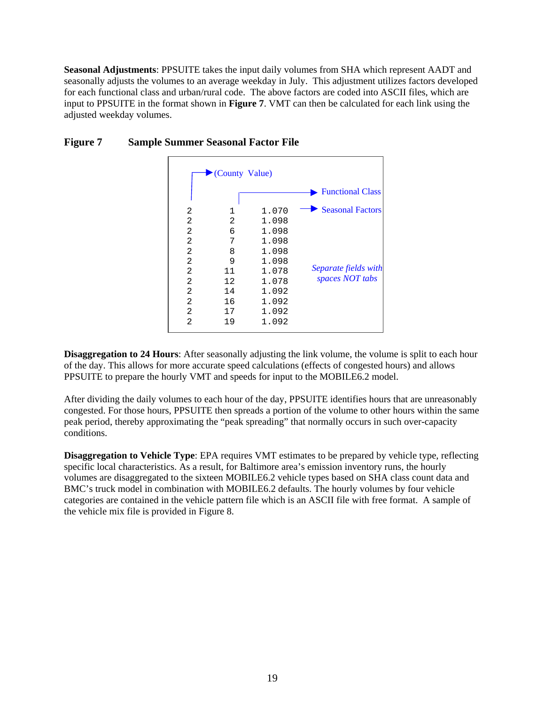<span id="page-18-0"></span>**Seasonal Adjustments**: PPSUITE takes the input daily volumes from SHA which represent AADT and seasonally adjusts the volumes to an average weekday in July. This adjustment utilizes factors developed for each functional class and urban/rural code. The above factors are coded into ASCII files, which are input to PPSUITE in the format shown in **Figure 7**. VMT can then be calculated for each link using the adjusted weekday volumes.

|                                                   | County Value)                                    |                                                                      |                                                                    |
|---------------------------------------------------|--------------------------------------------------|----------------------------------------------------------------------|--------------------------------------------------------------------|
|                                                   |                                                  |                                                                      | <b>Functional Class</b>                                            |
| 2<br>2<br>$\overline{2}$<br>2<br>2<br>2<br>2<br>2 | $\mathbf 1$<br>2<br>6<br>7<br>8<br>9<br>11<br>12 | 1.070<br>1.098<br>1.098<br>1.098<br>1.098<br>1.098<br>1.078<br>1.078 | <b>Seasonal Factors</b><br>Separate fields with<br>spaces NOT tabs |
| 2<br>2<br>$\overline{2}$<br>$\overline{2}$        | 14<br>16<br>17<br>19                             | 1.092<br>1.092<br>1.092<br>1.092                                     |                                                                    |

#### **Figure 7 Sample Summer Seasonal Factor File**

**Disaggregation to 24 Hours:** After seasonally adjusting the link volume, the volume is split to each hour of the day. This allows for more accurate speed calculations (effects of congested hours) and allows PPSUITE to prepare the hourly VMT and speeds for input to the MOBILE6.2 model.

After dividing the daily volumes to each hour of the day, PPSUITE identifies hours that are unreasonably congested. For those hours, PPSUITE then spreads a portion of the volume to other hours within the same peak period, thereby approximating the "peak spreading" that normally occurs in such over-capacity conditions.

**Disaggregation to Vehicle Type**: EPA requires VMT estimates to be prepared by vehicle type, reflecting specific local characteristics. As a result, for Baltimore area's emission inventory runs, the hourly volumes are disaggregated to the sixteen MOBILE6.2 vehicle types based on SHA class count data and BMC's truck model in combination with MOBILE6.2 defaults. The hourly volumes by four vehicle categories are contained in the vehicle pattern file which is an ASCII file with free format. A sample of the vehicle mix file is provided in Figure 8.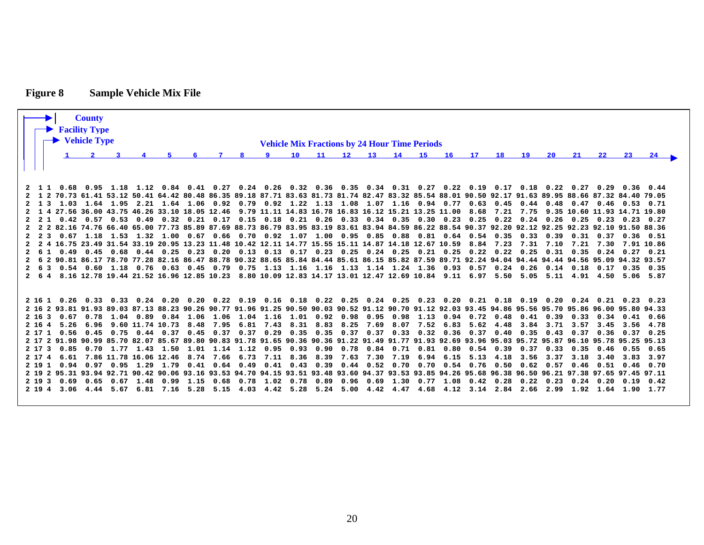# **Figure 8 Sample Vehicle Mix File**

<span id="page-19-0"></span>

|  |  | <b>County</b><br><b>Facility Type</b><br>$\rightarrow$ Vehicle Type |  |                                                                                                                                                                             |    |                     |  | <b>Vehicle Mix Fractions by 24 Hour Time Periods</b> |                   |               |                 |    |    |                                         |      |                     |                      |  |
|--|--|---------------------------------------------------------------------|--|-----------------------------------------------------------------------------------------------------------------------------------------------------------------------------|----|---------------------|--|------------------------------------------------------|-------------------|---------------|-----------------|----|----|-----------------------------------------|------|---------------------|----------------------|--|
|  |  |                                                                     |  |                                                                                                                                                                             |    |                     |  |                                                      |                   |               |                 |    |    |                                         |      |                     |                      |  |
|  |  |                                                                     |  |                                                                                                                                                                             | -8 | $\bullet$ $\bullet$ |  | 10 11 12 13 14 15 16                                 |                   |               | 17 <sub>1</sub> | 18 | 19 | 20                                      | 21   | 22                  | -23-                 |  |
|  |  |                                                                     |  |                                                                                                                                                                             |    |                     |  |                                                      |                   |               |                 |    |    |                                         |      |                     |                      |  |
|  |  |                                                                     |  |                                                                                                                                                                             |    |                     |  |                                                      |                   |               |                 |    |    |                                         |      |                     |                      |  |
|  |  |                                                                     |  | 2 1 1 0.68 0.95 1.18 1.12 0.84 0.41 0.27 0.24 0.26 0.32 0.36 0.35 0.34 0.31 0.27 0.22 0.19 0.17 0.18 0.22 0.27 0.29 0.36 0.44                                               |    |                     |  |                                                      |                   |               |                 |    |    |                                         |      |                     |                      |  |
|  |  |                                                                     |  | 2 1 2 70.73 61.41 53.12 50.41 64.42 80.48 86.35 89.18 87.71 83.63 81.73 81.74 82.47 83.32 85.54 88.01 90.50 92.17 91.63 89.95 88.66 87.32 84.40 79.05                       |    |                     |  |                                                      |                   |               |                 |    |    |                                         |      |                     |                      |  |
|  |  |                                                                     |  | 2 1 3 1.03 1.64 1.95 2.21 1.64 1.06 0.92 0.79 0.92 1.22 1.13 1.08 1.07 1.16 0.94 0.77 0.63 0.45 0.44 0.48 0.47 0.46 0.53 0.71                                               |    |                     |  |                                                      |                   |               |                 |    |    |                                         |      |                     |                      |  |
|  |  |                                                                     |  | 2 1 4 27.56 36.00 43.75 46.26 33.10 18.05 12.46 9.79 11.11 14.83 16.78 16.83 16.12 15.21 13.25 11.00 8.68 7.21 7.75 9.35 10.60 11.93 14.71 19.80                            |    |                     |  |                                                      |                   |               |                 |    |    |                                         |      |                     |                      |  |
|  |  |                                                                     |  | 2 2 1 0.42 0.57 0.53 0.49 0.32 0.21 0.17 0.15 0.18 0.21 0.26 0.33 0.34 0.35 0.30 0.23 0.25 0.22 0.24 0.26 0.25 0.23 0.23 0.27                                               |    |                     |  |                                                      |                   |               |                 |    |    |                                         |      |                     |                      |  |
|  |  |                                                                     |  | 2 2 2 82.16 74.76 66.40 65.00 77.73 85.89 87.69 88.73 86.79 83.95 83.19 83.61 83.94 84.59 86.22 88.54 90.37 92.20 92.12 92.25 92.25 92.10 91.50 88.36                       |    |                     |  |                                                      |                   |               |                 |    |    |                                         |      |                     |                      |  |
|  |  |                                                                     |  | 2   2   3   0.67   1.18   1.53   1.32   1.00   0.67   0.66   0.70   0.92   1.07   1.00   0.95   0.85   0.85   0.81   0.64   0.54   0.35   0.33   0.39                       |    |                     |  |                                                      |                   |               |                 |    |    |                                         | 0.31 |                     | $0.37$ $0.36$ $0.51$ |  |
|  |  |                                                                     |  | 2 2 4 16.75 23.49 31.54 33.19 20.95 13.23 11.48 10.42 12.11 14.77 15.55 15.11 14.87 14.18 12.67 10.59 8.84 7.23 7.31 7.31 7.10 7.21 7.30 7.91 10.86                         |    |                     |  |                                                      |                   |               |                 |    |    |                                         |      |                     |                      |  |
|  |  |                                                                     |  | 2 6 1 0.49 0.45 0.68 0.44 0.25 0.23 0.20 0.13 0.13 0.17 0.23 0.25 0.24 0.25 0.21 0.25 0.22 0.22 0.25 0.31 0.35 0.24 0.27 0.21                                               |    |                     |  |                                                      |                   |               |                 |    |    |                                         |      |                     |                      |  |
|  |  |                                                                     |  | 2 6 2 90.81 86.17 78.70 77.28 82.16 86.47 88.78 90.32 88.65 85.84 84.44 85.61 86.15 85.82 87.59 89.71 92.24 94.04 94.44 94.44 94.44 94.56 95.09 94.32 93.57                 |    |                     |  |                                                      |                   |               |                 |    |    |                                         |      |                     |                      |  |
|  |  |                                                                     |  | 2 6 3 0.54 0.60 1.18 0.76 0.63 0.45 0.79 0.75 1.13 1.16 1.16 1.13 1.14 1.24 1.36 0.93 0.57 0.24 0.26 0.14 0.18 0.17 0.35 0.35                                               |    |                     |  |                                                      |                   |               |                 |    |    |                                         |      |                     |                      |  |
|  |  |                                                                     |  | 2 6 4 8.16 12.78 19.44 21.52 16.96 12.85 10.23 8.80 10.09 12.83 14.17 13.01 12.47 12.69 10.84 9.11 6.97 5.50 5.05 5.11 4.91 4.50 5.06 5.87                                  |    |                     |  |                                                      |                   |               |                 |    |    |                                         |      |                     |                      |  |
|  |  |                                                                     |  |                                                                                                                                                                             |    |                     |  |                                                      |                   |               |                 |    |    |                                         |      |                     |                      |  |
|  |  |                                                                     |  | 2 16 1 0.26 0.33 0.33 0.24 0.20 0.20 0.22 0.19 0.16 0.18 0.22 0.25 0.24 0.25 0.23 0.20 0.21 0.18 0.19 0.20 0.24 0.21 0.23 0.23                                              |    |                     |  |                                                      |                   |               |                 |    |    |                                         |      |                     |                      |  |
|  |  |                                                                     |  | 2 16 2 93.81 91.93 89.03 87.13 88.23 90.26 90.77 91.96 91.25 90.50 90.03 90.52 91.12 90.70 91.12 92.03 93.45 94.86 95.56 95.56 95.70 95.86 96.00 95.80 94.33                |    |                     |  |                                                      |                   |               |                 |    |    |                                         |      |                     |                      |  |
|  |  |                                                                     |  | 2 16 3 0.67 0.78 1.04 0.89 0.84 1.06 1.06 1.04 1.16 1.01 0.92 0.98 0.95 0.98 1.13 0.94 0.72 0.48 0.41 0.39                                                                  |    |                     |  |                                                      |                   |               |                 |    |    |                                         |      | 0.33 0.34 0.41 0.66 |                      |  |
|  |  |                                                                     |  | 2 16 4 5.26 6.96 9.60 11.74 10.73 8.48 7.95 6.81 7.43 8.31 8.83 8.25 7.69 8.07 7.52 6.83 5.62 4.48 3.84 3.71 3.57 3.45 3.56 4.78                                            |    |                     |  |                                                      |                   |               |                 |    |    |                                         |      |                     |                      |  |
|  |  |                                                                     |  | 2 17 1 0.56 0.45 0.75 0.44 0.37 0.45 0.37 0.37 0.29 0.35 0.35 0.37 0.37 0.33 0.32 0.36 0.37 0.40 0.35 0.43 0.37                                                             |    |                     |  |                                                      |                   |               |                 |    |    |                                         |      |                     | $0.36$ $0.37$ $0.25$ |  |
|  |  |                                                                     |  | 2 17 2 91.98 90.99 85.70 82.07 85.67 89.80 90.83 91.78 91.65 90.36 90.36 91.22 91.49 91.77 91.93 92.69 93.96 95.03 95.03 95.72 95.87 96.10 95.78 95.25 95.13                |    |                     |  |                                                      |                   |               |                 |    |    |                                         |      |                     |                      |  |
|  |  |                                                                     |  | 2 17 3 0.85 0.70 1.77 1.43 1.50 1.01 1.14 1.12 0.95 0.93 0.90 0.78 0.84 0.71 0.81 0.80 0.54 0.39 0.37 0.33                                                                  |    |                     |  |                                                      |                   |               |                 |    |    |                                         | 0.35 |                     | $0.46$ $0.55$ $0.65$ |  |
|  |  |                                                                     |  | 2 17 4 6.61 7.86 11.78 16.06 12.46 8.74 7.66 6.73 7.11 8.36 8.39 7.63 7.30 7.19 6.94 6.15 5.13 4.18                                                                         |    |                     |  |                                                      |                   |               |                 |    |    | 3.56 3.37 3.18                          |      |                     | 3.40 3.83 3.97       |  |
|  |  |                                                                     |  | 2 19 1 0.94 0.97 0.95 1.29 1.79 0.41 0.64 0.49 0.41 0.43 0.39 0.44 0.52 0.70 0.70 0.54 0.76 0.50 0.62 0.57                                                                  |    |                     |  |                                                      |                   |               |                 |    |    |                                         | 0.46 |                     | $0.51$ $0.46$ $0.70$ |  |
|  |  |                                                                     |  | 2 19 2 95.31 93.94 92.71 90.42 90.06 93.16 93.53 94.70 94.15 93.51 93.48 93.60 94.37 93.53 93.85 94.26 95.68 96.38 96.30 96.50 96.21 97.38 97.65 97.45 97.11                |    |                     |  |                                                      |                   |               |                 |    |    |                                         |      |                     |                      |  |
|  |  |                                                                     |  | 2 19 3 0.69 0.65 0.67 1.48 0.99 1.15 0.68 0.78 1.02 0.78 0.89 0.96 0.69 1.30 0.77 1.08 0.42 0.28 0.22 0.23 0.24 0.20 0.19 0.42<br>2 19 4 3.06 4.44 5.67 6.81 7.16 5.28 5.15 |    | 4.03 4.42 5.28      |  | 5.24 5.00                                            | $4.42 \quad 4.47$ | $4.68$ $4.12$ |                 |    |    | 3.14 2.84 2.66 2.99 1.92 1.64 1.90 1.77 |      |                     |                      |  |
|  |  |                                                                     |  |                                                                                                                                                                             |    |                     |  |                                                      |                   |               |                 |    |    |                                         |      |                     |                      |  |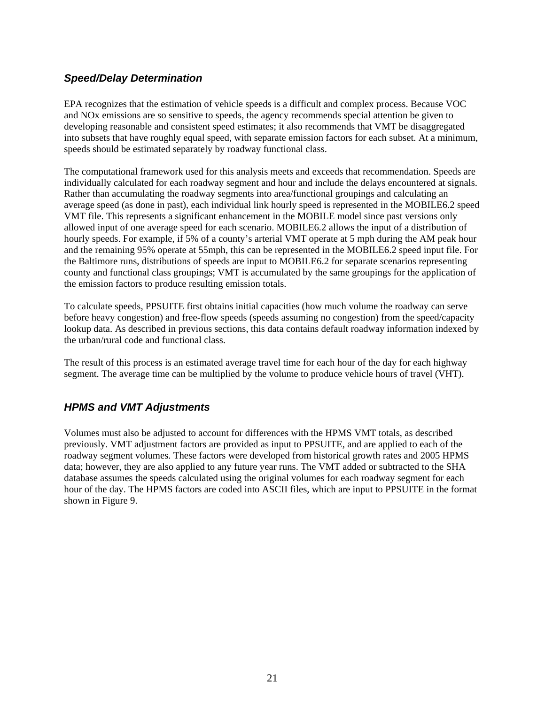### <span id="page-20-0"></span>*Speed/Delay Determination*

EPA recognizes that the estimation of vehicle speeds is a difficult and complex process. Because VOC and NOx emissions are so sensitive to speeds, the agency recommends special attention be given to developing reasonable and consistent speed estimates; it also recommends that VMT be disaggregated into subsets that have roughly equal speed, with separate emission factors for each subset. At a minimum, speeds should be estimated separately by roadway functional class.

The computational framework used for this analysis meets and exceeds that recommendation. Speeds are individually calculated for each roadway segment and hour and include the delays encountered at signals. Rather than accumulating the roadway segments into area/functional groupings and calculating an average speed (as done in past), each individual link hourly speed is represented in the MOBILE6.2 speed VMT file. This represents a significant enhancement in the MOBILE model since past versions only allowed input of one average speed for each scenario. MOBILE6.2 allows the input of a distribution of hourly speeds. For example, if 5% of a county's arterial VMT operate at 5 mph during the AM peak hour and the remaining 95% operate at 55mph, this can be represented in the MOBILE6.2 speed input file. For the Baltimore runs, distributions of speeds are input to MOBILE6.2 for separate scenarios representing county and functional class groupings; VMT is accumulated by the same groupings for the application of the emission factors to produce resulting emission totals.

To calculate speeds, PPSUITE first obtains initial capacities (how much volume the roadway can serve before heavy congestion) and free-flow speeds (speeds assuming no congestion) from the speed/capacity lookup data. As described in previous sections, this data contains default roadway information indexed by the urban/rural code and functional class.

The result of this process is an estimated average travel time for each hour of the day for each highway segment. The average time can be multiplied by the volume to produce vehicle hours of travel (VHT).

#### *HPMS and VMT Adjustments*

Volumes must also be adjusted to account for differences with the HPMS VMT totals, as described previously. VMT adjustment factors are provided as input to PPSUITE, and are applied to each of the roadway segment volumes. These factors were developed from historical growth rates and 2005 HPMS data; however, they are also applied to any future year runs. The VMT added or subtracted to the SHA database assumes the speeds calculated using the original volumes for each roadway segment for each hour of the day. The HPMS factors are coded into ASCII files, which are input to PPSUITE in the format shown in Figure 9.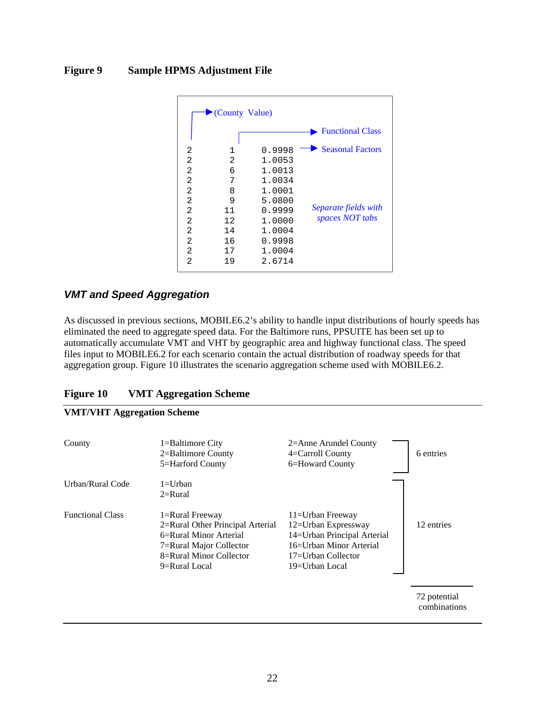#### <span id="page-21-0"></span>**Figure 9 Sample HPMS Adjustment File**

|                | County Value) |        |                         |
|----------------|---------------|--------|-------------------------|
|                |               |        | <b>Functional Class</b> |
| 2              | $\mathbf 1$   | 0.9998 | <b>Seasonal Factors</b> |
| $\overline{2}$ | 2             | 1.0053 |                         |
| 2              | 6             | 1.0013 |                         |
| 2              | 7             | 1.0034 |                         |
| $\overline{2}$ | 8             | 1.0001 |                         |
| 2              | 9             | 5.0800 |                         |
| $\overline{2}$ | 11            | 0.9999 | Separate fields with    |
| $\overline{2}$ | 12            | 1.0000 | spaces NOT tabs         |
| $\overline{2}$ | 14            | 1.0004 |                         |
| $\overline{2}$ | 16            | 0.9998 |                         |
| $\overline{2}$ | 17            | 1.0004 |                         |
| $\overline{2}$ | 19            | 2.6714 |                         |

#### *VMT and Speed Aggregation*

As discussed in previous sections, MOBILE6.2's ability to handle input distributions of hourly speeds has eliminated the need to aggregate speed data. For the Baltimore runs, PPSUITE has been set up to automatically accumulate VMT and VHT by geographic area and highway functional class. The speed files input to MOBILE6.2 for each scenario contain the actual distribution of roadway speeds for that aggregation group. Figure 10 illustrates the scenario aggregation scheme used with MOBILE6.2.

#### **Figure 10 VMT Aggregation Scheme**

### **VMT/VHT Aggregation Scheme**  County 1=Baltimore City 2=Anne Arundel County 2=Baltimore County 4=Carroll County 6 entries 5=Harford County 6=Howard County Urban/Rural Code 1=Urban 2=Rural Functional Class 1=Rural Freeway 11=Urban Freeway 2=Rural Other Principal Arterial 12=Urban Expressway 12 entries 6=Rural Minor Arterial 14=Urban Principal Arterial 7=Rural Major Collector 16=Urban Minor Arterial 8=Rural Minor Collector 17=Urban Collector 9=Rural Local 19=Urban Local 72 potential combinations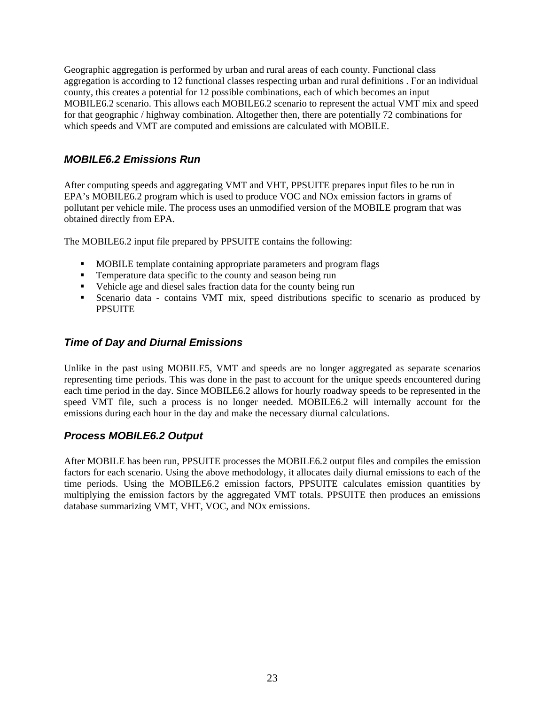<span id="page-22-0"></span>Geographic aggregation is performed by urban and rural areas of each county. Functional class aggregation is according to 12 functional classes respecting urban and rural definitions . For an individual county, this creates a potential for 12 possible combinations, each of which becomes an input MOBILE6.2 scenario. This allows each MOBILE6.2 scenario to represent the actual VMT mix and speed for that geographic / highway combination. Altogether then, there are potentially 72 combinations for which speeds and VMT are computed and emissions are calculated with MOBILE.

### *MOBILE6.2 Emissions Run*

After computing speeds and aggregating VMT and VHT, PPSUITE prepares input files to be run in EPA's MOBILE6.2 program which is used to produce VOC and NOx emission factors in grams of pollutant per vehicle mile. The process uses an unmodified version of the MOBILE program that was obtained directly from EPA.

The MOBILE6.2 input file prepared by PPSUITE contains the following:

- **MOBILE template containing appropriate parameters and program flags**
- **Temperature data specific to the county and season being run**
- Vehicle age and diesel sales fraction data for the county being run
- Scenario data contains VMT mix, speed distributions specific to scenario as produced by **PPSUITE**

#### *Time of Day and Diurnal Emissions*

Unlike in the past using MOBILE5, VMT and speeds are no longer aggregated as separate scenarios representing time periods. This was done in the past to account for the unique speeds encountered during each time period in the day. Since MOBILE6.2 allows for hourly roadway speeds to be represented in the speed VMT file, such a process is no longer needed. MOBILE6.2 will internally account for the emissions during each hour in the day and make the necessary diurnal calculations.

#### *Process MOBILE6.2 Output*

After MOBILE has been run, PPSUITE processes the MOBILE6.2 output files and compiles the emission factors for each scenario. Using the above methodology, it allocates daily diurnal emissions to each of the time periods. Using the MOBILE6.2 emission factors, PPSUITE calculates emission quantities by multiplying the emission factors by the aggregated VMT totals. PPSUITE then produces an emissions database summarizing VMT, VHT, VOC, and NOx emissions.